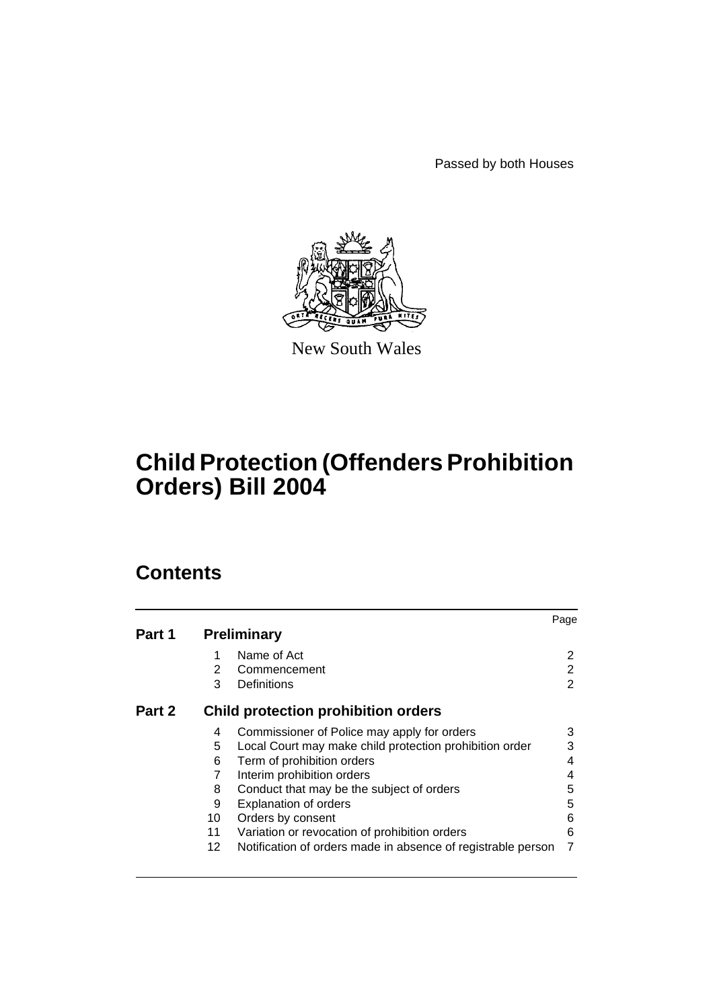Passed by both Houses



New South Wales

# **Child Protection (Offenders Prohibition Orders) Bill 2004**

# **Contents**

|        |     |                                                              | Page |
|--------|-----|--------------------------------------------------------------|------|
| Part 1 |     | <b>Preliminary</b>                                           |      |
|        | 1   | Name of Act                                                  | 2    |
|        | 2   | Commencement                                                 | 2    |
|        | 3   | Definitions                                                  | 2    |
| Part 2 |     | <b>Child protection prohibition orders</b>                   |      |
|        | 4   | Commissioner of Police may apply for orders                  | 3    |
|        | 5   | Local Court may make child protection prohibition order      | 3    |
|        | 6   | Term of prohibition orders                                   | 4    |
|        | 7   | Interim prohibition orders                                   | 4    |
|        | 8   | Conduct that may be the subject of orders                    | 5    |
|        | 9   | <b>Explanation of orders</b>                                 | 5    |
|        | 10  | Orders by consent                                            | 6    |
|        | 11  | Variation or revocation of prohibition orders                | 6    |
|        | 12. | Notification of orders made in absence of registrable person |      |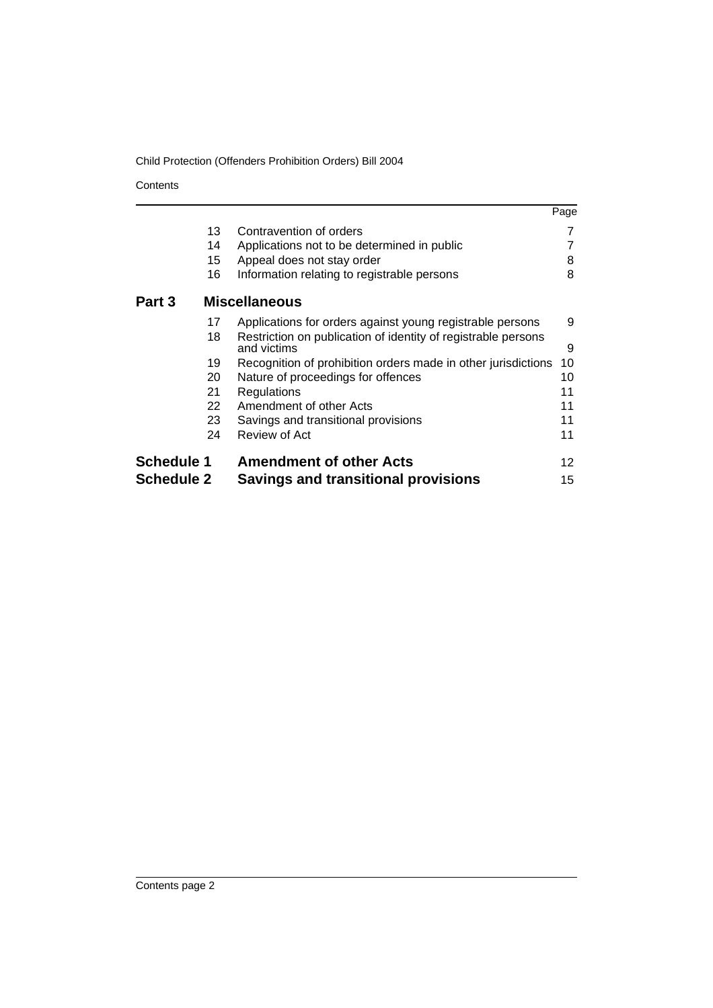**Contents** 

|                   |                                                                              | Page |
|-------------------|------------------------------------------------------------------------------|------|
| 13                | Contravention of orders                                                      |      |
| 14                | Applications not to be determined in public                                  |      |
| 15 <sub>1</sub>   | Appeal does not stay order                                                   | 8    |
| 16                | Information relating to registrable persons                                  | 8    |
| Part 3            | <b>Miscellaneous</b>                                                         |      |
| 17                | Applications for orders against young registrable persons                    | 9    |
| 18                | Restriction on publication of identity of registrable persons<br>and victims | 9    |
| 19                | Recognition of prohibition orders made in other jurisdictions                | 10   |
| 20                | Nature of proceedings for offences                                           | 10   |
| 21                | <b>Regulations</b>                                                           | 11   |
| 22                | Amendment of other Acts                                                      | 11   |
| 23.               | Savings and transitional provisions                                          | 11   |
| 24                | Review of Act                                                                | 11   |
| <b>Schedule 1</b> | <b>Amendment of other Acts</b>                                               | 12   |
| <b>Schedule 2</b> | <b>Savings and transitional provisions</b>                                   | 15   |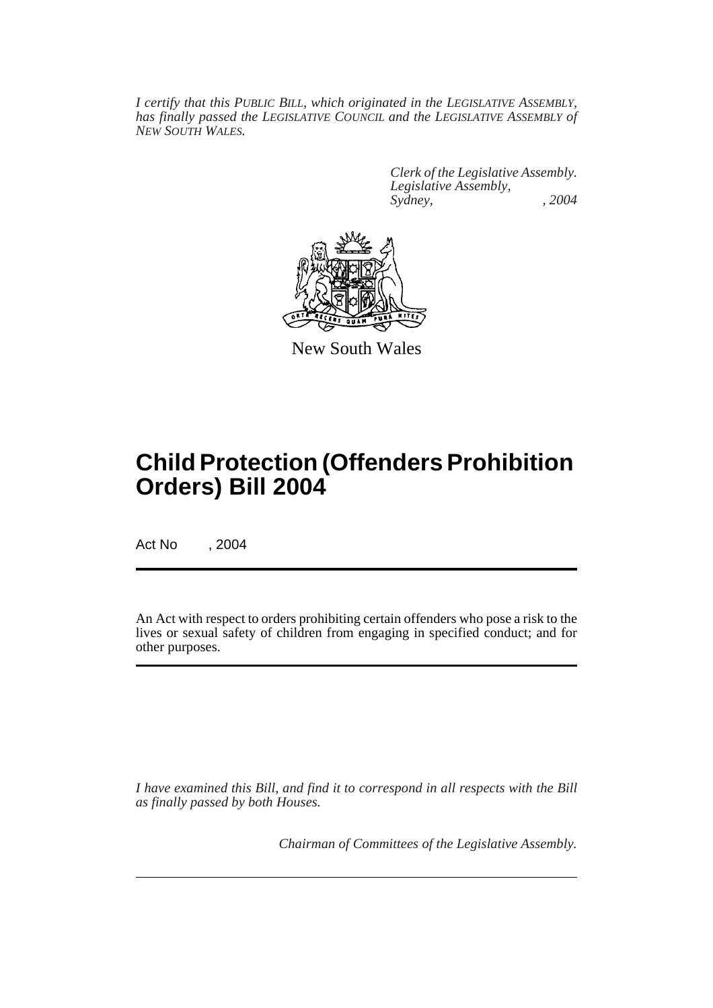*I certify that this PUBLIC BILL, which originated in the LEGISLATIVE ASSEMBLY, has finally passed the LEGISLATIVE COUNCIL and the LEGISLATIVE ASSEMBLY of NEW SOUTH WALES.*

> *Clerk of the Legislative Assembly. Legislative Assembly, Sydney, , 2004*



New South Wales

# **Child Protection (Offenders Prohibition Orders) Bill 2004**

Act No , 2004

An Act with respect to orders prohibiting certain offenders who pose a risk to the lives or sexual safety of children from engaging in specified conduct; and for other purposes.

*I have examined this Bill, and find it to correspond in all respects with the Bill as finally passed by both Houses.*

*Chairman of Committees of the Legislative Assembly.*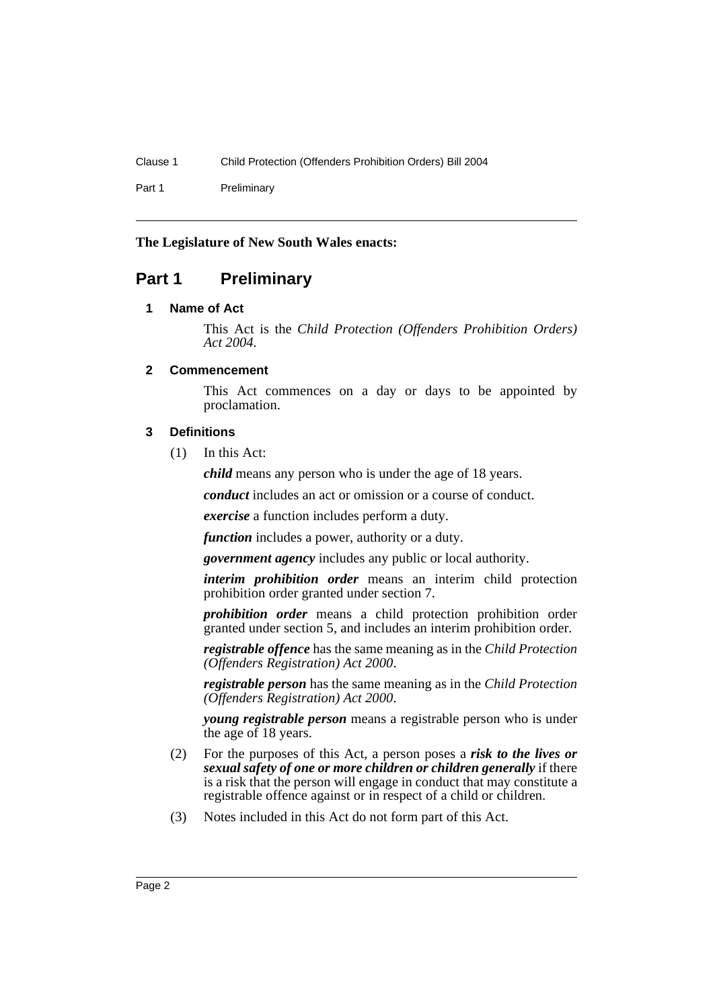Part 1 Preliminary

# **The Legislature of New South Wales enacts:**

# **Part 1 Preliminary**

# **1 Name of Act**

This Act is the *Child Protection (Offenders Prohibition Orders) Act 2004*.

# **2 Commencement**

This Act commences on a day or days to be appointed by proclamation.

# **3 Definitions**

(1) In this Act:

*child* means any person who is under the age of 18 years.

*conduct* includes an act or omission or a course of conduct.

*exercise* a function includes perform a duty.

*function* includes a power, authority or a duty.

*government agency* includes any public or local authority.

*interim prohibition order* means an interim child protection prohibition order granted under section 7.

*prohibition order* means a child protection prohibition order granted under section 5, and includes an interim prohibition order.

*registrable offence* has the same meaning as in the *Child Protection (Offenders Registration) Act 2000*.

*registrable person* has the same meaning as in the *Child Protection (Offenders Registration) Act 2000*.

*young registrable person* means a registrable person who is under the age of 18 years.

- (2) For the purposes of this Act, a person poses a *risk to the lives or sexual safety of one or more children or children generally* if there is a risk that the person will engage in conduct that may constitute a registrable offence against or in respect of a child or children.
- (3) Notes included in this Act do not form part of this Act.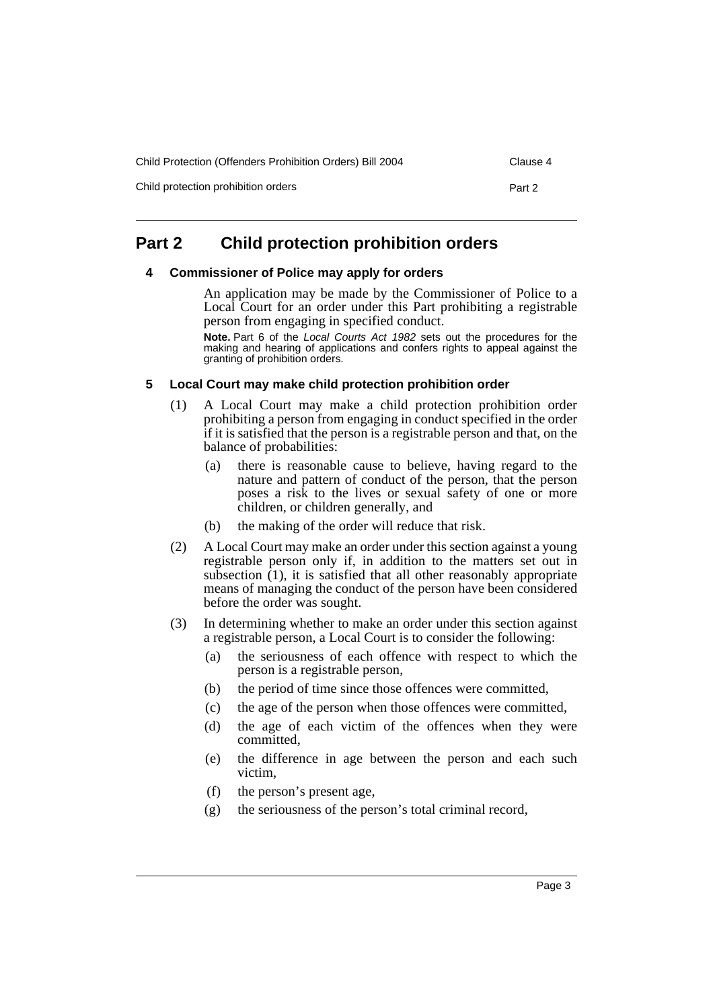Child Protection (Offenders Prohibition Orders) Bill 2004 Clause 4

Child protection prohibition orders **Part 2** 

# **Part 2 Child protection prohibition orders**

#### **4 Commissioner of Police may apply for orders**

An application may be made by the Commissioner of Police to a Local Court for an order under this Part prohibiting a registrable person from engaging in specified conduct.

**Note.** Part 6 of the *Local Courts Act 1982* sets out the procedures for the making and hearing of applications and confers rights to appeal against the granting of prohibition orders.

## **5 Local Court may make child protection prohibition order**

- (1) A Local Court may make a child protection prohibition order prohibiting a person from engaging in conduct specified in the order if it is satisfied that the person is a registrable person and that, on the balance of probabilities:
	- (a) there is reasonable cause to believe, having regard to the nature and pattern of conduct of the person, that the person poses a risk to the lives or sexual safety of one or more children, or children generally, and
	- (b) the making of the order will reduce that risk.
- (2) A Local Court may make an order under this section against a young registrable person only if, in addition to the matters set out in subsection  $(1)$ , it is satisfied that all other reasonably appropriate means of managing the conduct of the person have been considered before the order was sought.
- (3) In determining whether to make an order under this section against a registrable person, a Local Court is to consider the following:
	- (a) the seriousness of each offence with respect to which the person is a registrable person,
	- (b) the period of time since those offences were committed,
	- (c) the age of the person when those offences were committed,
	- (d) the age of each victim of the offences when they were committed,
	- (e) the difference in age between the person and each such victim,
	- (f) the person's present age,
	- (g) the seriousness of the person's total criminal record,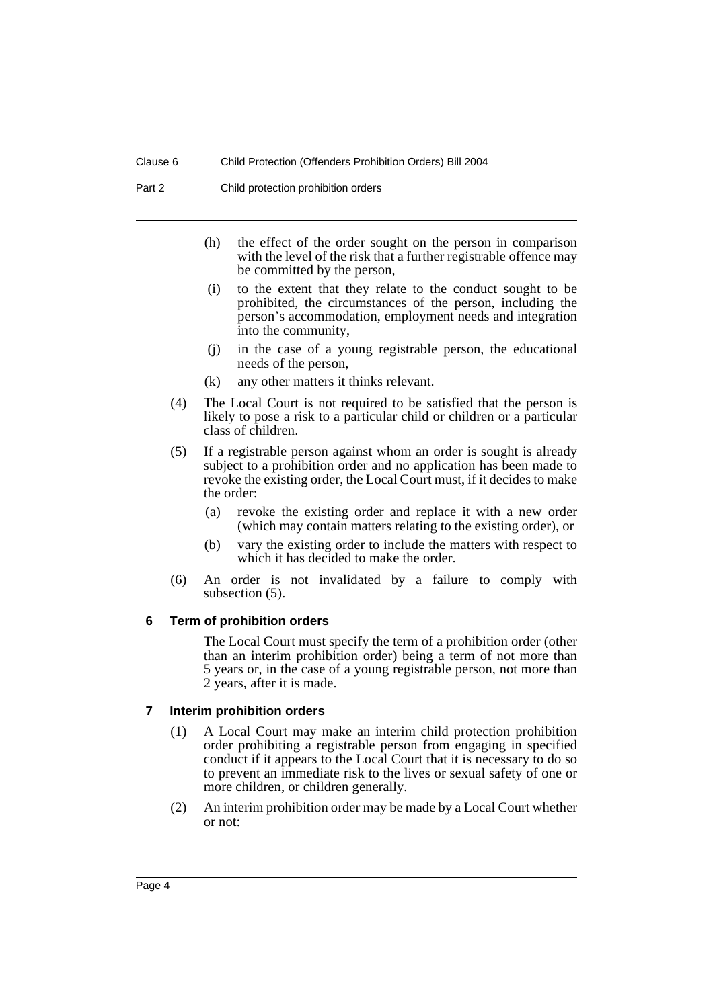Part 2 Child protection prohibition orders

- (h) the effect of the order sought on the person in comparison with the level of the risk that a further registrable offence may be committed by the person,
- (i) to the extent that they relate to the conduct sought to be prohibited, the circumstances of the person, including the person's accommodation, employment needs and integration into the community,
- (j) in the case of a young registrable person, the educational needs of the person,
- (k) any other matters it thinks relevant.
- (4) The Local Court is not required to be satisfied that the person is likely to pose a risk to a particular child or children or a particular class of children.
- (5) If a registrable person against whom an order is sought is already subject to a prohibition order and no application has been made to revoke the existing order, the Local Court must, if it decides to make the order:
	- (a) revoke the existing order and replace it with a new order (which may contain matters relating to the existing order), or
	- (b) vary the existing order to include the matters with respect to which it has decided to make the order.
- (6) An order is not invalidated by a failure to comply with subsection (5).

#### **6 Term of prohibition orders**

The Local Court must specify the term of a prohibition order (other than an interim prohibition order) being a term of not more than 5 years or, in the case of a young registrable person, not more than 2 years, after it is made.

## **7 Interim prohibition orders**

- (1) A Local Court may make an interim child protection prohibition order prohibiting a registrable person from engaging in specified conduct if it appears to the Local Court that it is necessary to do so to prevent an immediate risk to the lives or sexual safety of one or more children, or children generally.
- (2) An interim prohibition order may be made by a Local Court whether or not: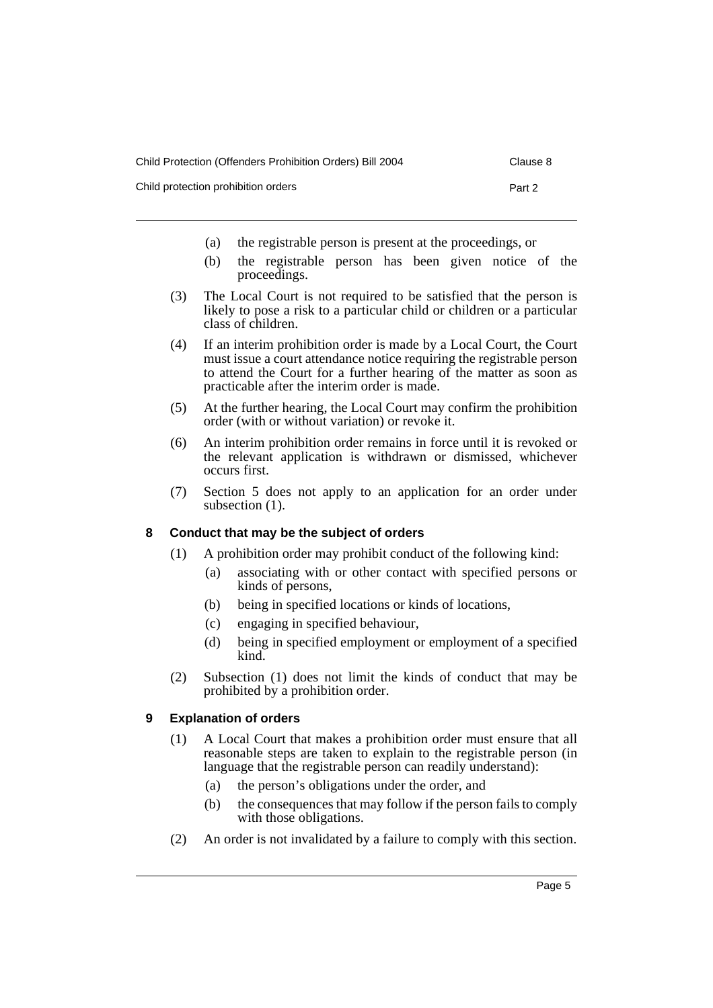| Child Protection (Offenders Prohibition Orders) Bill 2004 | Clause 8 |
|-----------------------------------------------------------|----------|
|                                                           |          |

Child protection prohibition orders **Part 2** 

- (a) the registrable person is present at the proceedings, or
- (b) the registrable person has been given notice of the proceedings.
- (3) The Local Court is not required to be satisfied that the person is likely to pose a risk to a particular child or children or a particular class of children.
- (4) If an interim prohibition order is made by a Local Court, the Court must issue a court attendance notice requiring the registrable person to attend the Court for a further hearing of the matter as soon as practicable after the interim order is made.
- (5) At the further hearing, the Local Court may confirm the prohibition order (with or without variation) or revoke it.
- (6) An interim prohibition order remains in force until it is revoked or the relevant application is withdrawn or dismissed, whichever occurs first.
- (7) Section 5 does not apply to an application for an order under subsection  $(1)$ .

# **8 Conduct that may be the subject of orders**

- (1) A prohibition order may prohibit conduct of the following kind:
	- (a) associating with or other contact with specified persons or kinds of persons,
	- (b) being in specified locations or kinds of locations,
	- (c) engaging in specified behaviour,
	- (d) being in specified employment or employment of a specified kind.
- (2) Subsection (1) does not limit the kinds of conduct that may be prohibited by a prohibition order.

# **9 Explanation of orders**

- (1) A Local Court that makes a prohibition order must ensure that all reasonable steps are taken to explain to the registrable person (in language that the registrable person can readily understand):
	- (a) the person's obligations under the order, and
	- (b) the consequences that may follow if the person fails to comply with those obligations.
- (2) An order is not invalidated by a failure to comply with this section.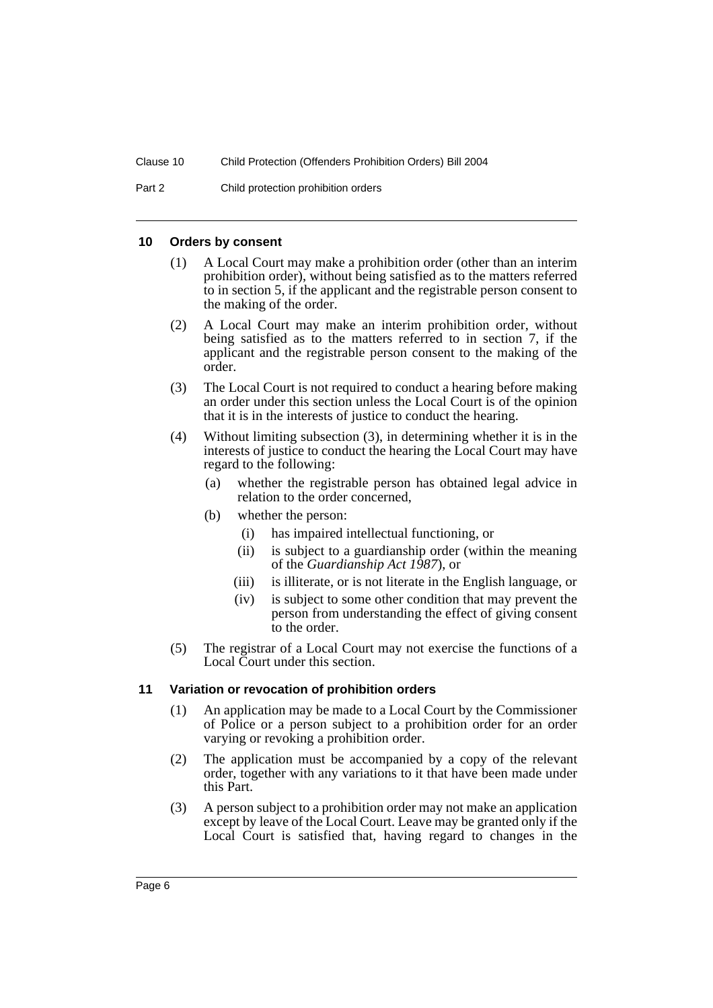Part 2 Child protection prohibition orders

#### **10 Orders by consent**

- (1) A Local Court may make a prohibition order (other than an interim prohibition order), without being satisfied as to the matters referred to in section 5, if the applicant and the registrable person consent to the making of the order.
- (2) A Local Court may make an interim prohibition order, without being satisfied as to the matters referred to in section 7, if the applicant and the registrable person consent to the making of the order.
- (3) The Local Court is not required to conduct a hearing before making an order under this section unless the Local Court is of the opinion that it is in the interests of justice to conduct the hearing.
- (4) Without limiting subsection (3), in determining whether it is in the interests of justice to conduct the hearing the Local Court may have regard to the following:
	- (a) whether the registrable person has obtained legal advice in relation to the order concerned,
	- (b) whether the person:
		- (i) has impaired intellectual functioning, or
		- (ii) is subject to a guardianship order (within the meaning of the *Guardianship Act 1987*), or
		- (iii) is illiterate, or is not literate in the English language, or
		- (iv) is subject to some other condition that may prevent the person from understanding the effect of giving consent to the order.
- (5) The registrar of a Local Court may not exercise the functions of a Local Court under this section.

#### **11 Variation or revocation of prohibition orders**

- (1) An application may be made to a Local Court by the Commissioner of Police or a person subject to a prohibition order for an order varying or revoking a prohibition order.
- (2) The application must be accompanied by a copy of the relevant order, together with any variations to it that have been made under this Part.
- (3) A person subject to a prohibition order may not make an application except by leave of the Local Court. Leave may be granted only if the Local Court is satisfied that, having regard to changes in the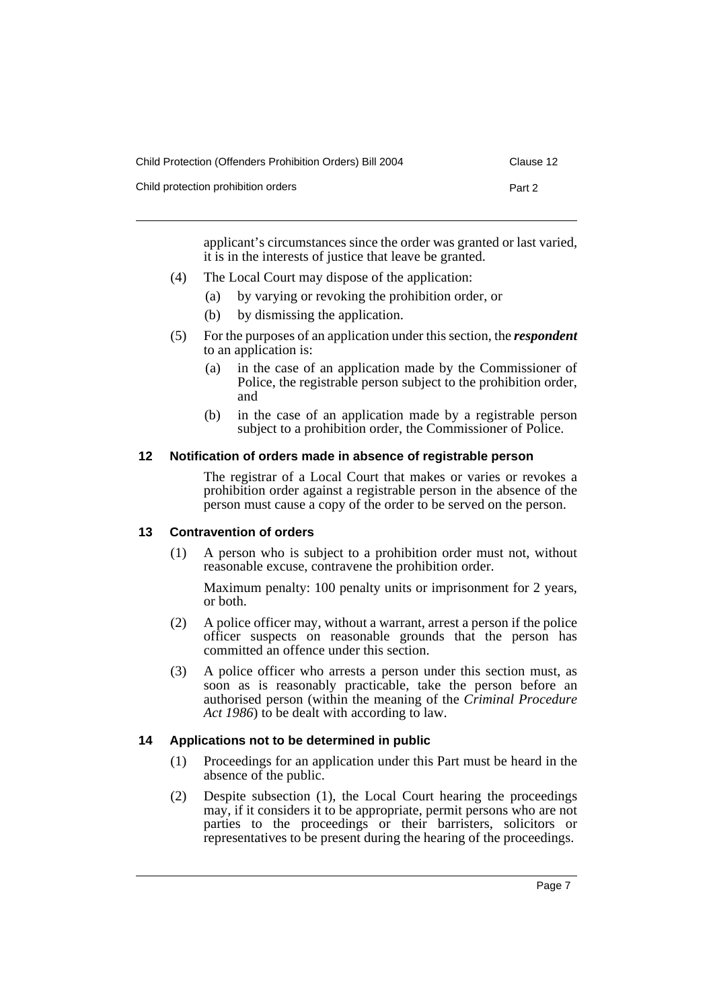| Child Protection (Offenders Prohibition Orders) Bill 2004 | Clause 12 |
|-----------------------------------------------------------|-----------|
| Child protection prohibition orders                       | Part 2    |

applicant's circumstances since the order was granted or last varied, it is in the interests of justice that leave be granted.

- (4) The Local Court may dispose of the application:
	- (a) by varying or revoking the prohibition order, or
	- (b) by dismissing the application.
- (5) For the purposes of an application under this section, the *respondent* to an application is:
	- (a) in the case of an application made by the Commissioner of Police, the registrable person subject to the prohibition order, and
	- (b) in the case of an application made by a registrable person subject to a prohibition order, the Commissioner of Police.

## **12 Notification of orders made in absence of registrable person**

The registrar of a Local Court that makes or varies or revokes a prohibition order against a registrable person in the absence of the person must cause a copy of the order to be served on the person.

## **13 Contravention of orders**

(1) A person who is subject to a prohibition order must not, without reasonable excuse, contravene the prohibition order.

Maximum penalty: 100 penalty units or imprisonment for 2 years, or both.

- (2) A police officer may, without a warrant, arrest a person if the police officer suspects on reasonable grounds that the person has committed an offence under this section.
- (3) A police officer who arrests a person under this section must, as soon as is reasonably practicable, take the person before an authorised person (within the meaning of the *Criminal Procedure Act 1986*) to be dealt with according to law.

## **14 Applications not to be determined in public**

- (1) Proceedings for an application under this Part must be heard in the absence of the public.
- (2) Despite subsection (1), the Local Court hearing the proceedings may, if it considers it to be appropriate, permit persons who are not parties to the proceedings or their barristers, solicitors or representatives to be present during the hearing of the proceedings.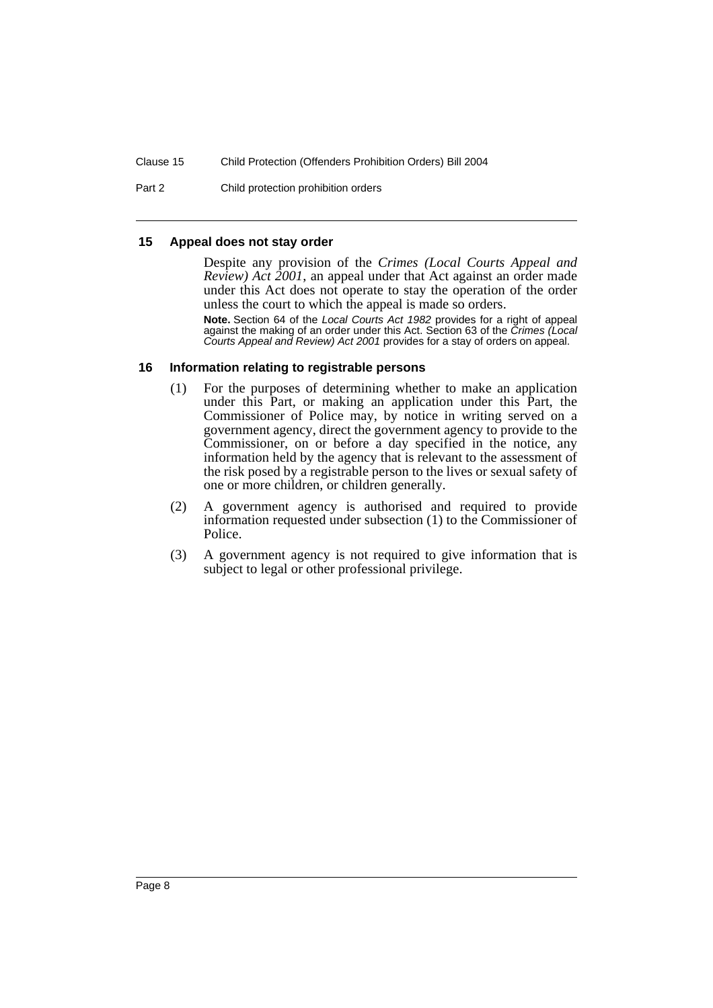Part 2 Child protection prohibition orders

#### **15 Appeal does not stay order**

Despite any provision of the *Crimes (Local Courts Appeal and Review) Act 2001*, an appeal under that Act against an order made under this Act does not operate to stay the operation of the order unless the court to which the appeal is made so orders.

**Note.** Section 64 of the *Local Courts Act 1982* provides for a right of appeal against the making of an order under this Act. Section 63 of the *Crimes (Local Courts Appeal and Review) Act 2001* provides for a stay of orders on appeal.

## **16 Information relating to registrable persons**

- (1) For the purposes of determining whether to make an application under this Part, or making an application under this Part, the Commissioner of Police may, by notice in writing served on a government agency, direct the government agency to provide to the Commissioner, on or before a day specified in the notice, any information held by the agency that is relevant to the assessment of the risk posed by a registrable person to the lives or sexual safety of one or more children, or children generally.
- (2) A government agency is authorised and required to provide information requested under subsection (1) to the Commissioner of Police.
- (3) A government agency is not required to give information that is subject to legal or other professional privilege.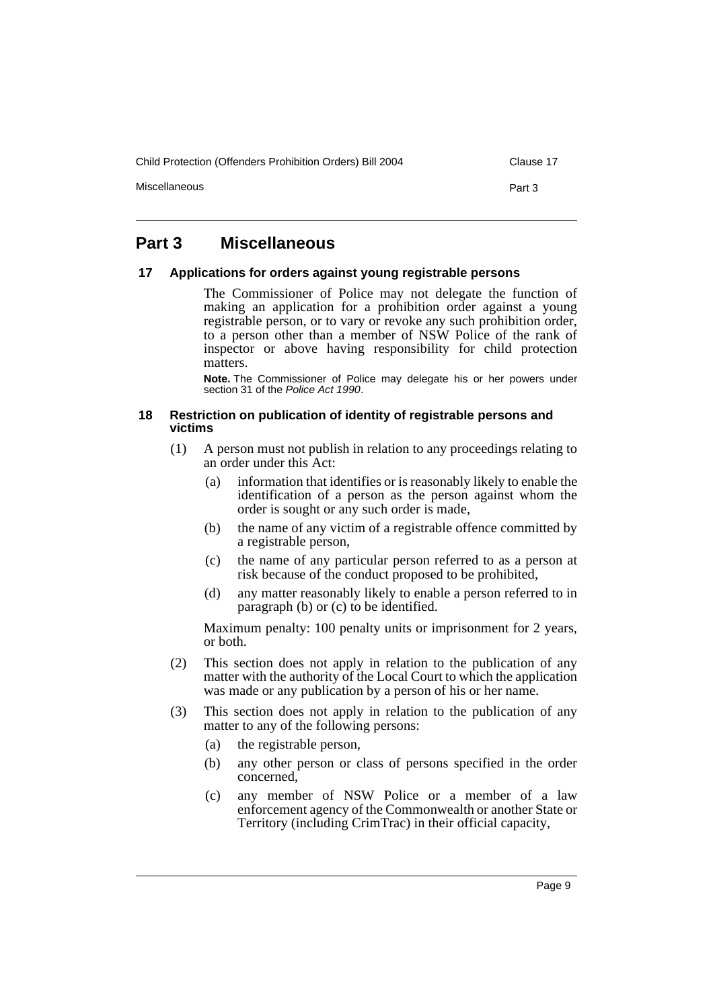Child Protection (Offenders Prohibition Orders) Bill 2004 Clause 17

Miscellaneous **Part 3** 

# **Part 3 Miscellaneous**

#### **17 Applications for orders against young registrable persons**

The Commissioner of Police may not delegate the function of making an application for a prohibition order against a young registrable person, or to vary or revoke any such prohibition order, to a person other than a member of NSW Police of the rank of inspector or above having responsibility for child protection matters.

**Note.** The Commissioner of Police may delegate his or her powers under section 31 of the *Police Act 1990*.

#### **18 Restriction on publication of identity of registrable persons and victims**

- (1) A person must not publish in relation to any proceedings relating to an order under this Act:
	- (a) information that identifies or is reasonably likely to enable the identification of a person as the person against whom the order is sought or any such order is made,
	- (b) the name of any victim of a registrable offence committed by a registrable person,
	- (c) the name of any particular person referred to as a person at risk because of the conduct proposed to be prohibited,
	- (d) any matter reasonably likely to enable a person referred to in paragraph (b) or (c) to be identified.

Maximum penalty: 100 penalty units or imprisonment for 2 years, or both.

- (2) This section does not apply in relation to the publication of any matter with the authority of the Local Court to which the application was made or any publication by a person of his or her name.
- (3) This section does not apply in relation to the publication of any matter to any of the following persons:
	- (a) the registrable person,
	- (b) any other person or class of persons specified in the order concerned,
	- (c) any member of NSW Police or a member of a law enforcement agency of the Commonwealth or another State or Territory (including CrimTrac) in their official capacity,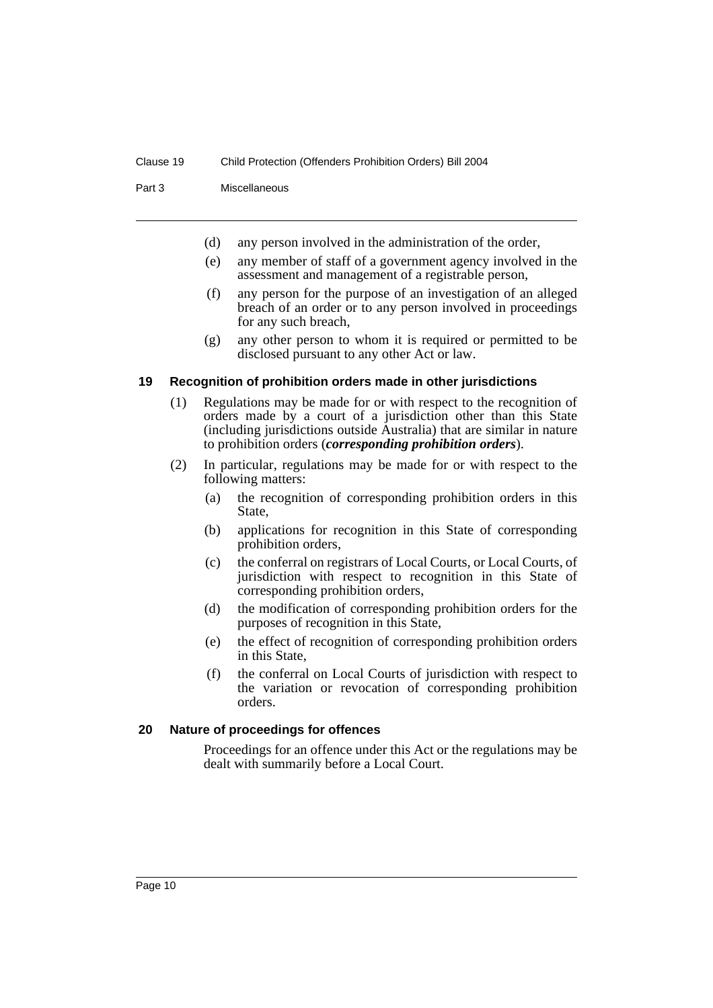Part 3 Miscellaneous

- (d) any person involved in the administration of the order,
- (e) any member of staff of a government agency involved in the assessment and management of a registrable person,
- (f) any person for the purpose of an investigation of an alleged breach of an order or to any person involved in proceedings for any such breach,
- (g) any other person to whom it is required or permitted to be disclosed pursuant to any other Act or law.

#### **19 Recognition of prohibition orders made in other jurisdictions**

- (1) Regulations may be made for or with respect to the recognition of orders made by a court of a jurisdiction other than this State (including jurisdictions outside Australia) that are similar in nature to prohibition orders (*corresponding prohibition orders*).
- (2) In particular, regulations may be made for or with respect to the following matters:
	- (a) the recognition of corresponding prohibition orders in this State,
	- (b) applications for recognition in this State of corresponding prohibition orders,
	- (c) the conferral on registrars of Local Courts, or Local Courts, of jurisdiction with respect to recognition in this State of corresponding prohibition orders,
	- (d) the modification of corresponding prohibition orders for the purposes of recognition in this State,
	- (e) the effect of recognition of corresponding prohibition orders in this State,
	- (f) the conferral on Local Courts of jurisdiction with respect to the variation or revocation of corresponding prohibition orders.

#### **20 Nature of proceedings for offences**

Proceedings for an offence under this Act or the regulations may be dealt with summarily before a Local Court.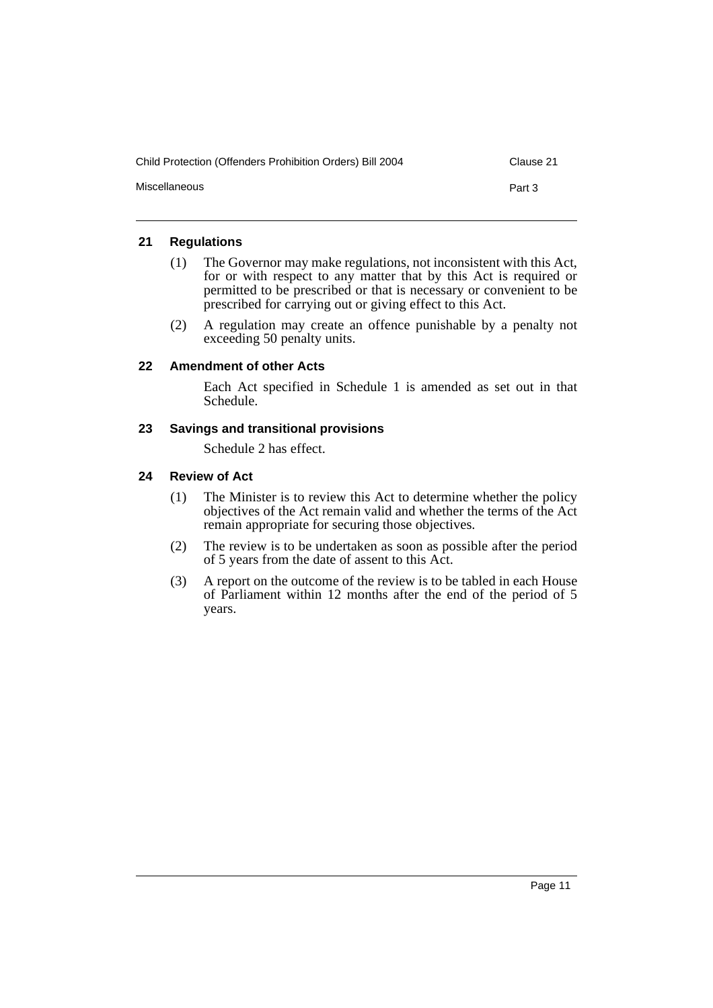| Child Protection (Offenders Prohibition Orders) Bill 2004 | Clause 21 |
|-----------------------------------------------------------|-----------|
| Miscellaneous                                             | Part 3    |

# **21 Regulations**

- (1) The Governor may make regulations, not inconsistent with this Act, for or with respect to any matter that by this Act is required or permitted to be prescribed or that is necessary or convenient to be prescribed for carrying out or giving effect to this Act.
- (2) A regulation may create an offence punishable by a penalty not exceeding 50 penalty units.

# **22 Amendment of other Acts**

Each Act specified in Schedule 1 is amended as set out in that Schedule.

# **23 Savings and transitional provisions**

Schedule 2 has effect.

# **24 Review of Act**

- (1) The Minister is to review this Act to determine whether the policy objectives of the Act remain valid and whether the terms of the Act remain appropriate for securing those objectives.
- (2) The review is to be undertaken as soon as possible after the period of 5 years from the date of assent to this Act.
- (3) A report on the outcome of the review is to be tabled in each House of Parliament within 12 months after the end of the period of 5 years.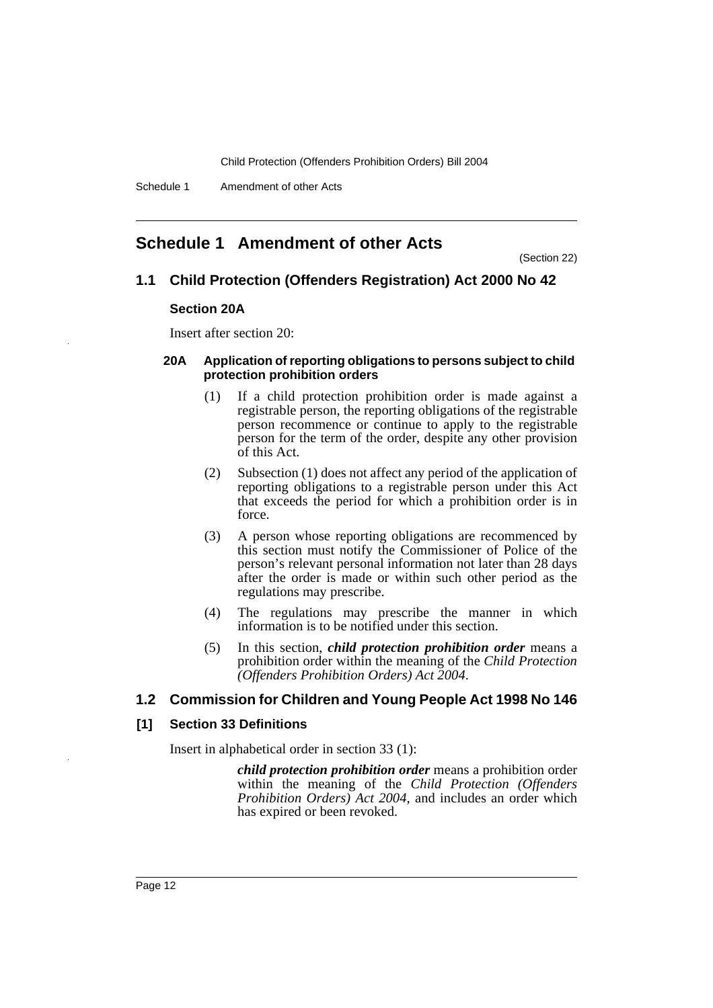# **Schedule 1 Amendment of other Acts**

(Section 22)

## **1.1 Child Protection (Offenders Registration) Act 2000 No 42**

#### **Section 20A**

Insert after section 20:

#### **20A Application of reporting obligations to persons subject to child protection prohibition orders**

- (1) If a child protection prohibition order is made against a registrable person, the reporting obligations of the registrable person recommence or continue to apply to the registrable person for the term of the order, despite any other provision of this Act.
- (2) Subsection (1) does not affect any period of the application of reporting obligations to a registrable person under this Act that exceeds the period for which a prohibition order is in force.
- (3) A person whose reporting obligations are recommenced by this section must notify the Commissioner of Police of the person's relevant personal information not later than 28 days after the order is made or within such other period as the regulations may prescribe.
- (4) The regulations may prescribe the manner in which information is to be notified under this section.
- (5) In this section, *child protection prohibition order* means a prohibition order within the meaning of the *Child Protection (Offenders Prohibition Orders) Act 2004*.

#### **1.2 Commission for Children and Young People Act 1998 No 146**

#### **[1] Section 33 Definitions**

Insert in alphabetical order in section 33 (1):

*child protection prohibition order* means a prohibition order within the meaning of the *Child Protection (Offenders Prohibition Orders) Act 2004*, and includes an order which has expired or been revoked.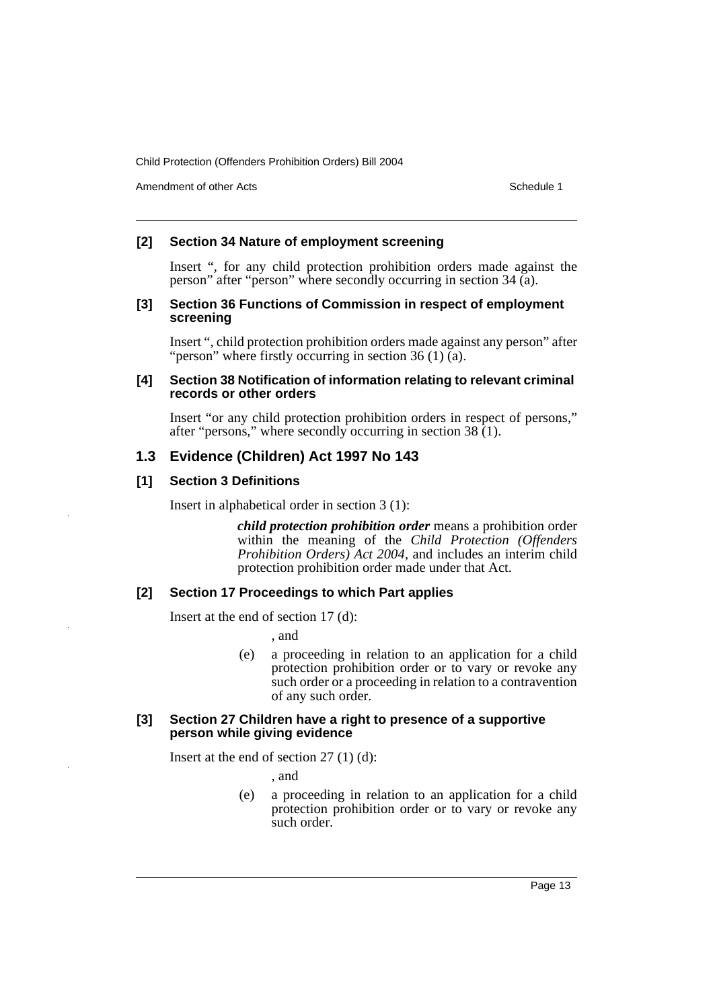Amendment of other Acts **Schedule 1** and the set of the set of the set of the set of the set of the set of the set of the set of the set of the set of the set of the set of the set of the set of the set of the set of the s

## **[2] Section 34 Nature of employment screening**

Insert ", for any child protection prohibition orders made against the person" after "person" where secondly occurring in section 34 (a).

#### **[3] Section 36 Functions of Commission in respect of employment screening**

Insert ", child protection prohibition orders made against any person" after "person" where firstly occurring in section 36 (1)  $\tilde{a}$ ).

#### **[4] Section 38 Notification of information relating to relevant criminal records or other orders**

Insert "or any child protection prohibition orders in respect of persons," after "persons," where secondly occurring in section 38 (1).

# **1.3 Evidence (Children) Act 1997 No 143**

# **[1] Section 3 Definitions**

Insert in alphabetical order in section 3 (1):

*child protection prohibition order* means a prohibition order within the meaning of the *Child Protection (Offenders Prohibition Orders) Act 2004*, and includes an interim child protection prohibition order made under that Act.

# **[2] Section 17 Proceedings to which Part applies**

Insert at the end of section 17 (d):

, and

(e) a proceeding in relation to an application for a child protection prohibition order or to vary or revoke any such order or a proceeding in relation to a contravention of any such order.

#### **[3] Section 27 Children have a right to presence of a supportive person while giving evidence**

Insert at the end of section 27 (1) (d):

, and

(e) a proceeding in relation to an application for a child protection prohibition order or to vary or revoke any such order.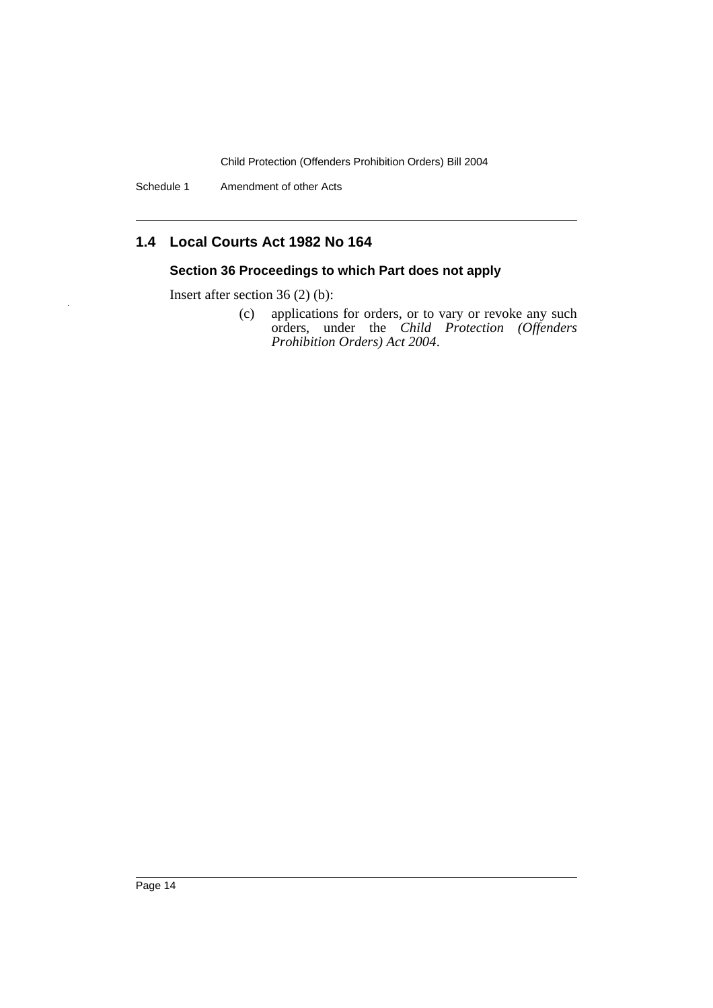Schedule 1 Amendment of other Acts

# **1.4 Local Courts Act 1982 No 164**

# **Section 36 Proceedings to which Part does not apply**

Insert after section 36 (2) (b):

(c) applications for orders, or to vary or revoke any such orders, under the *Child Protection (Offenders Prohibition Orders) Act 2004*.